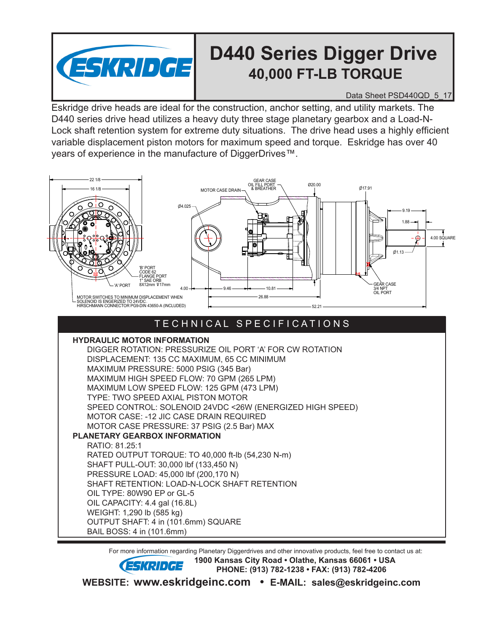

## **D440 Series Digger Drive 40,000 FT-LB TORQUE**

Data Sheet PSD440QD\_5\_17

Eskridge drive heads are ideal for the construction, anchor setting, and utility markets. The D440 series drive head utilizes a heavy duty three stage planetary gearbox and a Load-N-Lock shaft retention system for extreme duty situations. The drive head uses a highly efficient variable displacement piston motors for maximum speed and torque. Eskridge has over 40 years of experience in the manufacture of DiggerDrives™.



## T E C H N I C A L S P E C I F I C A T I O N S

**HYDRAULIC MOTOR INFORMATION**

DIGGER ROTATION: PRESSURIZE OIL PORT 'A' FOR CW ROTATION DISPLACEMENT: 135 CC MAXIMUM, 65 CC MINIMUM MAXIMUM PRESSURE: 5000 PSIG (345 Bar) MAXIMUM HIGH SPEED FLOW: 70 GPM (265 LPM) MAXIMUM LOW SPEED FLOW: 125 GPM (473 LPM) TYPE: TWO SPEED AXIAL PISTON MOTOR SPEED CONTROL: SOLENOID 24VDC <26W (ENERGIZED HIGH SPEED) MOTOR CASE: -12 JIC CASE DRAIN REQUIRED MOTOR CASE PRESSURE: 37 PSIG (2.5 Bar) MAX **PLANETARY GEARBOX INFORMATION** RATIO: 81.25:1 RATED OUTPUT TORQUE: TO 40,000 ft-lb (54,230 N-m) SHAFT PULL-OUT: 30,000 lbf (133,450 N) PRESSURE LOAD: 45,000 lbf (200,170 N)

SHAFT RETENTION: LOAD-N-LOCK SHAFT RETENTION

OIL TYPE: 80W90 EP or GL-5

OIL CAPACITY: 4.4 gal (16.8L)

WEIGHT: 1,290 lb (585 kg) OUTPUT SHAFT: 4 in (101.6mm) SQUARE

BAIL BOSS: 4 in (101.6mm)

For more information regarding Planetary Diggerdrives and other innovative products, feel free to contact us at:

**ESKRIDGE** 1900 Kansas City Road • Olathe, Kansas 66061 • USA  **PHONE: (913) 782-1238 • FAX: (913) 782-4206**

**WEBSITE: www.eskridgeinc.com • E-MAIL: sales@eskridgeinc.com**